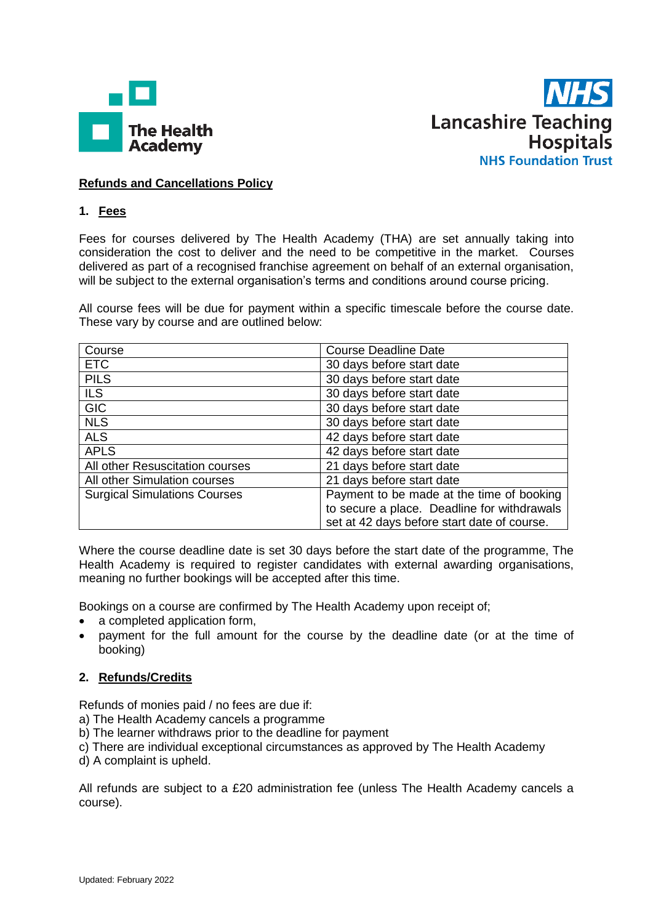



## **Refunds and Cancellations Policy**

## **1. Fees**

Fees for courses delivered by The Health Academy (THA) are set annually taking into consideration the cost to deliver and the need to be competitive in the market. Courses delivered as part of a recognised franchise agreement on behalf of an external organisation, will be subject to the external organisation's terms and conditions around course pricing.

All course fees will be due for payment within a specific timescale before the course date. These vary by course and are outlined below:

| Course                              | <b>Course Deadline Date</b>                 |  |
|-------------------------------------|---------------------------------------------|--|
| <b>ETC</b>                          | 30 days before start date                   |  |
| <b>PILS</b>                         | 30 days before start date                   |  |
| <b>ILS</b>                          | 30 days before start date                   |  |
| <b>GIC</b>                          | 30 days before start date                   |  |
| <b>NLS</b>                          | 30 days before start date                   |  |
| <b>ALS</b>                          | 42 days before start date                   |  |
| <b>APLS</b>                         | 42 days before start date                   |  |
| All other Resuscitation courses     | 21 days before start date                   |  |
| All other Simulation courses        | 21 days before start date                   |  |
| <b>Surgical Simulations Courses</b> | Payment to be made at the time of booking   |  |
|                                     | to secure a place. Deadline for withdrawals |  |
|                                     | set at 42 days before start date of course. |  |

Where the course deadline date is set 30 days before the start date of the programme, The Health Academy is required to register candidates with external awarding organisations, meaning no further bookings will be accepted after this time.

Bookings on a course are confirmed by The Health Academy upon receipt of;

- a completed application form,
- payment for the full amount for the course by the deadline date (or at the time of booking)

## **2. Refunds/Credits**

Refunds of monies paid / no fees are due if:

- a) The Health Academy cancels a programme
- b) The learner withdraws prior to the deadline for payment
- c) There are individual exceptional circumstances as approved by The Health Academy
- d) A complaint is upheld.

All refunds are subject to a £20 administration fee (unless The Health Academy cancels a course).